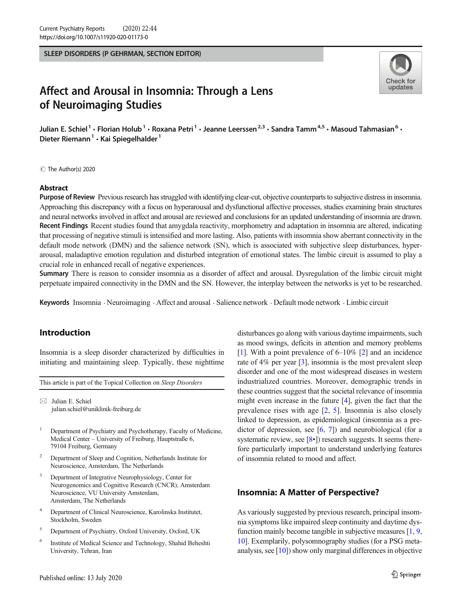SLEEP DISORDERS (P GEHRMAN, SECTION EDITOR)



# Affect and Arousal in Insomnia: Through a Lens of Neuroimaging Studies

Julian E. Schiel<sup>1</sup> • Florian Holub<sup>1</sup> • Roxana Petri<sup>1</sup> • Jeanne Leerssen<sup>2,3</sup> • Sandra Tamm<sup>4,5</sup> • Masoud Tahmasian<sup>6</sup> • Dieter Riemann<sup>1</sup> · Kai Spiegelhalder<sup>1</sup>

C The Author(s) 2020

#### Abstract

Purpose of Review Previous research has struggled with identifying clear-cut, objective counterparts to subjective distress in insomnia. Approaching this discrepancy with a focus on hyperarousal and dysfunctional affective processes, studies examining brain structures and neural networks involved in affect and arousal are reviewed and conclusions for an updated understanding of insomnia are drawn. Recent Findings Recent studies found that amygdala reactivity, morphometry and adaptation in insomnia are altered, indicating that processing of negative stimuli is intensified and more lasting. Also, patients with insomnia show aberrant connectivity in the default mode network (DMN) and the salience network (SN), which is associated with subjective sleep disturbances, hyperarousal, maladaptive emotion regulation and disturbed integration of emotional states. The limbic circuit is assumed to play a crucial role in enhanced recall of negative experiences.

Summary There is reason to consider insomnia as a disorder of affect and arousal. Dysregulation of the limbic circuit might perpetuate impaired connectivity in the DMN and the SN. However, the interplay between the networks is yet to be researched.

Keywords Insomnia . Neuroimaging . Affect and arousal . Salience network . Default mode network . Limbic circuit

# Introduction

Insomnia is a sleep disorder characterized by difficulties in initiating and maintaining sleep. Typically, these nighttime

This article is part of the Topical Collection on Sleep Disorders

 $\boxtimes$  Julian E. Schiel [julian.schiel@uniklinik-freiburg.de](mailto:julian.schiel@uniklinik-freiburg.de)

- <sup>1</sup> Department of Psychiatry and Psychotherapy, Faculty of Medicine, Medical Center – University of Freiburg, Hauptstraße 6, 79104 Freiburg, Germany
- <sup>2</sup> Department of Sleep and Cognition, Netherlands Institute for Neuroscience, Amsterdam, The Netherlands
- <sup>3</sup> Department of Integrative Neurophysiology, Center for Neurogenomics and Cognitive Research (CNCR), Amsterdam Neuroscience, VU University Amsterdam, Amsterdam, The Netherlands
- <sup>4</sup> Department of Clinical Neuroscience, Karolinska Institutet, Stockholm, Sweden
- <sup>5</sup> Department of Psychiatry, Oxford University, Oxford, UK
- <sup>6</sup> Institute of Medical Science and Technology, Shahid Beheshti University, Tehran, Iran

disturbances go along with various daytime impairments, such as mood swings, deficits in attention and memory problems [\[1](#page-5-0)]. With a point prevalence of 6–10% [\[2](#page-5-0)] and an incidence rate of 4% per year [\[3\]](#page-5-0), insomnia is the most prevalent sleep disorder and one of the most widespread diseases in western industrialized countries. Moreover, demographic trends in these countries suggest that the societal relevance of insomnia might even increase in the future [[4](#page-5-0)], given the fact that the prevalence rises with age [\[2](#page-5-0), [5\]](#page-5-0). Insomnia is also closely linked to depression, as epidemiological (insomnia as a predictor of depression, see  $[6, 7]$  $[6, 7]$  $[6, 7]$  $[6, 7]$ ) and neurobiological (for a systematic review, see  $[8\cdot]$  $[8\cdot]$ ) research suggests. It seems therefore particularly important to understand underlying features of insomnia related to mood and affect.

## Insomnia: A Matter of Perspective?

As variously suggested by previous research, principal insomnia symptoms like impaired sleep continuity and daytime dysfunction mainly become tangible in subjective measures [\[1](#page-5-0), [9,](#page-5-0) [10\]](#page-5-0). Exemplarily, polysomnography studies (for a PSG metaanalysis, see  $[10]$  $[10]$ ) show only marginal differences in objective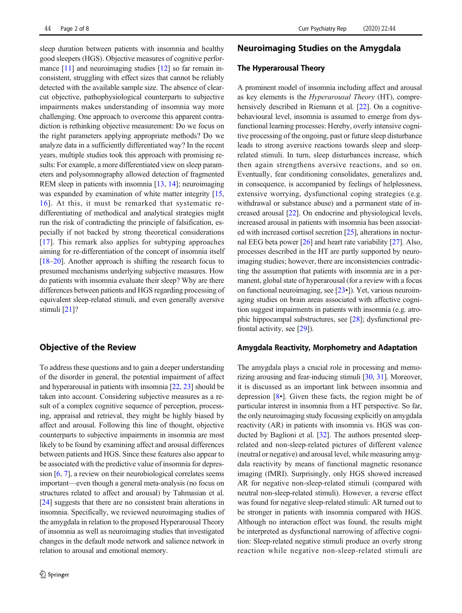sleep duration between patients with insomnia and healthy good sleepers (HGS). Objective measures of cognitive perfor-mance [[11\]](#page-5-0) and neuroimaging studies [\[12](#page-5-0)] so far remain inconsistent, struggling with effect sizes that cannot be reliably detected with the available sample size. The absence of clearcut objective, pathophysiological counterparts to subjective impairments makes understanding of insomnia way more challenging. One approach to overcome this apparent contradiction is rethinking objective measurement: Do we focus on the right parameters applying appropriate methods? Do we analyze data in a sufficiently differentiated way? In the recent years, multiple studies took this approach with promising results: For example, a more differentiated view on sleep parameters and polysomnography allowed detection of fragmented REM sleep in patients with insomnia [\[13,](#page-5-0) [14\]](#page-5-0); neuroimaging was expanded by examination of white matter integrity [[15,](#page-5-0) [16\]](#page-5-0). At this, it must be remarked that systematic redifferentiating of methodical and analytical strategies might run the risk of contradicting the principle of falsification, especially if not backed by strong theoretical considerations [\[17\]](#page-5-0). This remark also applies for subtyping approaches aiming for re-differentiation of the concept of insomnia itself [\[18](#page-6-0)–[20\]](#page-6-0). Another approach is shifting the research focus to presumed mechanisms underlying subjective measures. How do patients with insomnia evaluate their sleep? Why are there differences between patients and HGS regarding processing of equivalent sleep-related stimuli, and even generally aversive stimuli [[21](#page-6-0)]?

## Objective of the Review

To address these questions and to gain a deeper understanding of the disorder in general, the potential impairment of affect and hyperarousal in patients with insomnia [\[22,](#page-6-0) [23](#page-6-0)] should be taken into account. Considering subjective measures as a result of a complex cognitive sequence of perception, processing, appraisal and retrieval, they might be highly biased by affect and arousal. Following this line of thought, objective counterparts to subjective impairments in insomnia are most likely to be found by examining affect and arousal differences between patients and HGS. Since these features also appear to be associated with the predictive value of insomnia for depression [[6,](#page-5-0) [7](#page-5-0)], a review on their neurobiological correlates seems important—even though a general meta-analysis (no focus on structures related to affect and arousal) by Tahmasian et al. [\[24\]](#page-6-0) suggests that there are no consistent brain alterations in insomnia. Specifically, we reviewed neuroimaging studies of the amygdala in relation to the proposed Hyperarousal Theory of insomnia as well as neuroimaging studies that investigated changes in the default mode network and salience network in relation to arousal and emotional memory.

## Neuroimaging Studies on the Amygdala

#### The Hyperarousal Theory

A prominent model of insomnia including affect and arousal as key elements is the Hyperarousal Theory (HT), compre-hensively described in Riemann et al. [\[22\]](#page-6-0). On a cognitivebehavioural level, insomnia is assumed to emerge from dysfunctional learning processes: Hereby, overly intensive cognitive processing of the ongoing, past or future sleep disturbance leads to strong aversive reactions towards sleep and sleeprelated stimuli. In turn, sleep disturbances increase, which then again strengthens aversive reactions, and so on. Eventually, fear conditioning consolidates, generalizes and, in consequence, is accompanied by feelings of helplessness, extensive worrying, dysfunctional coping strategies (e.g. withdrawal or substance abuse) and a permanent state of increased arousal [\[22\]](#page-6-0). On endocrine and physiological levels, increased arousal in patients with insomnia has been associated with increased cortisol secretion [[25\]](#page-6-0), alterations in nocturnal EEG beta power [\[26](#page-6-0)] and heart rate variability [[27](#page-6-0)]. Also, processes described in the HT are partly supported by neuroimaging studies; however, there are inconsistencies contradicting the assumption that patients with insomnia are in a permanent, global state of hyperarousal (for a review with a focus on functional neuroimaging, see [[23](#page-6-0)•]). Yet, various neuroimaging studies on brain areas associated with affective cognition suggest impairments in patients with insomnia (e.g. atrophic hippocampal substructures, see [\[28](#page-6-0)]; dysfunctional prefrontal activity, see [\[29](#page-6-0)]).

#### Amygdala Reactivity, Morphometry and Adaptation

The amygdala plays a crucial role in processing and memorizing arousing and fear-inducing stimuli [[30,](#page-6-0) [31](#page-6-0)]. Moreover, it is discussed as an important link between insomnia and depression [[8](#page-5-0)•]. Given these facts, the region might be of particular interest in insomnia from a HT perspective. So far, the only neuroimaging study focussing explicitly on amygdala reactivity (AR) in patients with insomnia vs. HGS was conducted by Baglioni et al. [[32](#page-6-0)]. The authors presented sleeprelated and non-sleep-related pictures of different valence (neutral or negative) and arousal level, while measuring amygdala reactivity by means of functional magnetic resonance imaging (fMRI). Surprisingly, only HGS showed increased AR for negative non-sleep-related stimuli (compared with neutral non-sleep-related stimuli). However, a reverse effect was found for negative sleep-related stimuli: AR turned out to be stronger in patients with insomnia compared with HGS. Although no interaction effect was found, the results might be interpreted as dysfunctional narrowing of affective cognition: Sleep-related negative stimuli produce an overly strong reaction while negative non-sleep-related stimuli are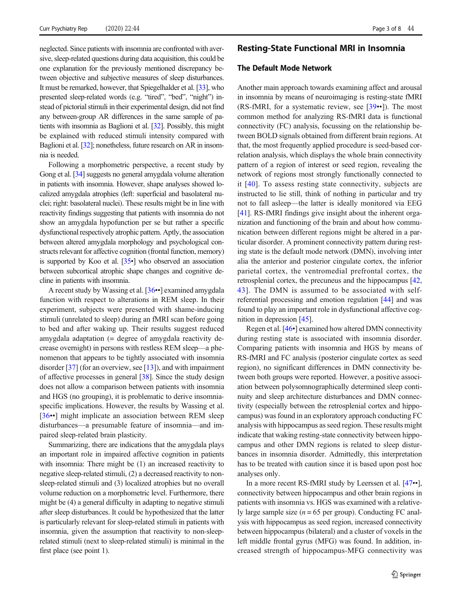neglected. Since patients with insomnia are confronted with aversive, sleep-related questions during data acquisition, this could be one explanation for the previously mentioned discrepancy between objective and subjective measures of sleep disturbances. It must be remarked, however, that Spiegelhalder et al. [\[33](#page-6-0)], who presented sleep-related words (e.g. "tired", "bed", "night") instead of pictorial stimuli in their experimental design, did not find any between-group AR differences in the same sample of patients with insomnia as Baglioni et al. [\[32](#page-6-0)]. Possibly, this might be explained with reduced stimuli intensity compared with Baglioni et al. [\[32](#page-6-0)]; nonetheless, future research on AR in insomnia is needed.

Following a morphometric perspective, a recent study by Gong et al. [\[34](#page-6-0)] suggests no general amygdala volume alteration in patients with insomnia. However, shape analyses showed localized amygdala atrophies (left: superficial and basolateral nuclei; right: basolateral nuclei). These results might be in line with reactivity findings suggesting that patients with insomnia do not show an amygdala hypofunction per se but rather a specific dysfunctional respectively atrophic pattern. Aptly, the association between altered amygdala morphology and psychological constructs relevant for affective cognition (frontal function, memory) is supported by Koo et al. [\[35](#page-6-0)•] who observed an association between subcortical atrophic shape changes and cognitive decline in patients with insomnia.

A recent study by Wassing et al. [\[36](#page-6-0)••] examined amygdala function with respect to alterations in REM sleep. In their experiment, subjects were presented with shame-inducing stimuli (unrelated to sleep) during an fMRI scan before going to bed and after waking up. Their results suggest reduced amygdala adaptation (= degree of amygdala reactivity decrease overnight) in persons with restless REM sleep—a phenomenon that appears to be tightly associated with insomnia disorder [[37\]](#page-6-0) (for an overview, see [[13](#page-5-0)]), and with impairment of affective processes in general [[38](#page-6-0)]. Since the study design does not allow a comparison between patients with insomnia and HGS (no grouping), it is problematic to derive insomniaspecific implications. However, the results by Wassing et al. [\[36](#page-6-0)••] might implicate an association between REM sleep disturbances—a presumable feature of insomnia—and impaired sleep-related brain plasticity.

Summarizing, there are indications that the amygdala plays an important role in impaired affective cognition in patients with insomnia: There might be (1) an increased reactivity to negative sleep-related stimuli, (2) a decreased reactivity to nonsleep-related stimuli and (3) localized atrophies but no overall volume reduction on a morphometric level. Furthermore, there might be (4) a general difficulty in adapting to negative stimuli after sleep disturbances. It could be hypothesized that the latter is particularly relevant for sleep-related stimuli in patients with insomnia, given the assumption that reactivity to non-sleeprelated stimuli (next to sleep-related stimuli) is minimal in the first place (see point 1).

## Resting-State Functional MRI in Insomnia

#### The Default Mode Network

Another main approach towards examining affect and arousal in insomnia by means of neuroimaging is resting-state fMRI (RS-fMRI, for a systematic review, see  $[39\cdot]$  $[39\cdot]$  $[39\cdot]$ ). The most common method for analyzing RS-fMRI data is functional connectivity (FC) analysis, focussing on the relationship between BOLD signals obtained from different brain regions. At that, the most frequently applied procedure is seed-based correlation analysis, which displays the whole brain connectivity pattern of a region of interest or seed region, revealing the network of regions most strongly functionally connected to it [[40](#page-6-0)]. To assess resting state connectivity, subjects are instructed to lie still, think of nothing in particular and try not to fall asleep—the latter is ideally monitored via EEG [\[41](#page-6-0)]. RS-fMRI findings give insight about the inherent organization and functioning of the brain and about how communication between different regions might be altered in a particular disorder. A prominent connectivity pattern during resting state is the default mode network (DMN), involving inter alia the anterior and posterior cingulate cortex, the inferior parietal cortex, the ventromedial prefrontal cortex, the retrosplenial cortex, the precuneus and the hippocampus [\[42,](#page-6-0) [43\]](#page-6-0). The DMN is assumed to be associated with selfreferential processing and emotion regulation [\[44](#page-6-0)] and was found to play an important role in dysfunctional affective cognition in depression [[45](#page-6-0)].

Regen et al. [\[46](#page-6-0)•] examined how altered DMN connectivity during resting state is associated with insomnia disorder. Comparing patients with insomnia and HGS by means of RS-fMRI and FC analysis (posterior cingulate cortex as seed region), no significant differences in DMN connectivity between both groups were reported. However, a positive association between polysomnographically determined sleep continuity and sleep architecture disturbances and DMN connectivity (especially between the retrosplenial cortex and hippocampus) was found in an exploratory approach conducting FC analysis with hippocampus as seed region. These results might indicate that waking resting-state connectivity between hippocampus and other DMN regions is related to sleep disturbances in insomnia disorder. Admittedly, this interpretation has to be treated with caution since it is based upon post hoc analyses only.

In a more recent RS-fMRI study by Leerssen et al. [\[47](#page-6-0)••], connectivity between hippocampus and other brain regions in patients with insomnia vs. HGS was examined with a relatively large sample size  $(n = 65$  per group). Conducting FC analysis with hippocampus as seed region, increased connectivity between hippocampus (bilateral) and a cluster of voxels in the left middle frontal gyrus (MFG) was found. In addition, increased strength of hippocampus-MFG connectivity was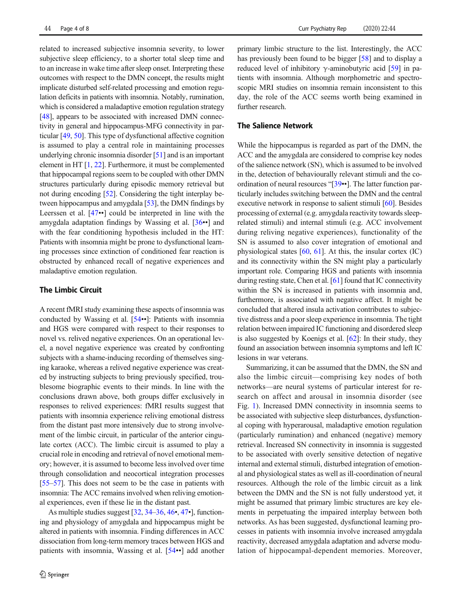related to increased subjective insomnia severity, to lower subjective sleep efficiency, to a shorter total sleep time and to an increase in wake time after sleep onset. Interpreting these outcomes with respect to the DMN concept, the results might implicate disturbed self-related processing and emotion regulation deficits in patients with insomnia. Notably, rumination, which is considered a maladaptive emotion regulation strategy [\[48\]](#page-6-0), appears to be associated with increased DMN connectivity in general and hippocampus-MFG connectivity in particular [[49,](#page-6-0) [50](#page-6-0)]. This type of dysfunctional affective cognition is assumed to play a central role in maintaining processes underlying chronic insomnia disorder [[51](#page-6-0)] and is an important element in HT [\[1,](#page-5-0) [22](#page-6-0)]. Furthermore, it must be complemented that hippocampal regions seem to be coupled with other DMN structures particularly during episodic memory retrieval but not during encoding [\[52\]](#page-6-0). Considering the tight interplay between hippocampus and amygdala [\[53\]](#page-6-0), the DMN findings by Leerssen et al. [\[47](#page-6-0)••] could be interpreted in line with the amygdala adaptation findings by Wassing et al. [\[36](#page-6-0)••] and with the fear conditioning hypothesis included in the HT: Patients with insomnia might be prone to dysfunctional learning processes since extinction of conditioned fear reaction is obstructed by enhanced recall of negative experiences and maladaptive emotion regulation.

#### The Limbic Circuit

A recent fMRI study examining these aspects of insomnia was conducted by Wassing et al. [\[54](#page-7-0)••]: Patients with insomnia and HGS were compared with respect to their responses to novel vs. relived negative experiences. On an operational level, a novel negative experience was created by confronting subjects with a shame-inducing recording of themselves singing karaoke, whereas a relived negative experience was created by instructing subjects to bring previously specified, troublesome biographic events to their minds. In line with the conclusions drawn above, both groups differ exclusively in responses to relived experiences: fMRI results suggest that patients with insomnia experience reliving emotional distress from the distant past more intensively due to strong involvement of the limbic circuit, in particular of the anterior cingulate cortex (ACC). The limbic circuit is assumed to play a crucial role in encoding and retrieval of novel emotional memory; however, it is assumed to become less involved over time through consolidation and neocortical integration processes [\[55](#page-7-0)–[57\]](#page-7-0). This does not seem to be the case in patients with insomnia: The ACC remains involved when reliving emotional experiences, even if these lie in the distant past.

As multiple studies suggest [\[32](#page-6-0), [34](#page-6-0)–[36](#page-6-0), [46](#page-6-0)•, [47](#page-6-0)•], functioning and physiology of amygdala and hippocampus might be altered in patients with insomnia. Finding differences in ACC dissociation from long-term memory traces between HGS and patients with insomnia, Wassing et al. [[54](#page-7-0)••] add another

#### The Salience Network

While the hippocampus is regarded as part of the DMN, the ACC and the amygdala are considered to comprise key nodes of the salience network (SN), which is assumed to be involved in the, detection of behaviourally relevant stimuli and the coordination of neural resources "[[39](#page-6-0)••]. The latter function particularly includes switching between the DMN and the central executive network in response to salient stimuli [\[60\]](#page-7-0). Besides processing of external (e.g. amygdala reactivity towards sleeprelated stimuli) and internal stimuli (e.g. ACC involvement during reliving negative experiences), functionality of the SN is assumed to also cover integration of emotional and physiological states [\[60](#page-7-0), [61\]](#page-7-0). At this, the insular cortex (IC) and its connectivity within the SN might play a particularly important role. Comparing HGS and patients with insomnia during resting state, Chen et al. [\[61\]](#page-7-0) found that IC connectivity within the SN is increased in patients with insomnia and, furthermore, is associated with negative affect. It might be concluded that altered insula activation contributes to subjective distress and a poor sleep experience in insomnia. The tight relation between impaired IC functioning and disordered sleep is also suggested by Koenigs et al. [\[62\]](#page-7-0): In their study, they found an association between insomnia symptoms and left IC lesions in war veterans.

Summarizing, it can be assumed that the DMN, the SN and also the limbic circuit—comprising key nodes of both networks—are neural systems of particular interest for research on affect and arousal in insomnia disorder (see Fig. [1](#page-4-0)). Increased DMN connectivity in insomnia seems to be associated with subjective sleep disturbances, dysfunctional coping with hyperarousal, maladaptive emotion regulation (particularly rumination) and enhanced (negative) memory retrieval. Increased SN connectivity in insomnia is suggested to be associated with overly sensitive detection of negative internal and external stimuli, disturbed integration of emotional and physiological states as well as ill-coordination of neural resources. Although the role of the limbic circuit as a link between the DMN and the SN is not fully understood yet, it might be assumed that primary limbic structures are key elements in perpetuating the impaired interplay between both networks. As has been suggested, dysfunctional learning processes in patients with insomnia involve increased amygdala reactivity, decreased amygdala adaptation and adverse modulation of hippocampal-dependent memories. Moreover,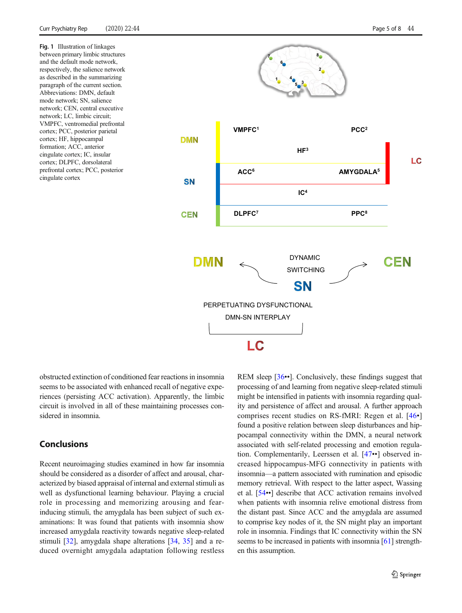<span id="page-4-0"></span>Fig. 1 Illustration of linkages between primary limbic structures and the default mode network, respectively, the salience network as described in the summarizing paragraph of the current section. Abbreviations: DMN, default mode network; SN, salience network; CEN, central executive network; LC, limbic circuit; VMPFC, ventromedial prefrontal cortex; PCC, posterior parietal cortex; HF, hippocampal formation; ACC, anterior cingulate cortex; IC, insular cortex; DLPFC, dorsolateral prefrontal cortex; PCC, posterior cingulate cortex



obstructed extinction of conditioned fear reactions in insomnia seems to be associated with enhanced recall of negative experiences (persisting ACC activation). Apparently, the limbic circuit is involved in all of these maintaining processes considered in insomnia.

# Conclusions

Recent neuroimaging studies examined in how far insomnia should be considered as a disorder of affect and arousal, characterized by biased appraisal of internal and external stimuli as well as dysfunctional learning behaviour. Playing a crucial role in processing and memorizing arousing and fearinducing stimuli, the amygdala has been subject of such examinations: It was found that patients with insomnia show increased amygdala reactivity towards negative sleep-related stimuli [\[32\]](#page-6-0), amygdala shape alterations [[34](#page-6-0), [35](#page-6-0)] and a reduced overnight amygdala adaptation following restless REM sleep [\[36](#page-6-0)••]. Conclusively, these findings suggest that processing of and learning from negative sleep-related stimuli might be intensified in patients with insomnia regarding quality and persistence of affect and arousal. A further approach comprises recent studies on RS-fMRI: Regen et al. [\[46](#page-6-0)•] found a positive relation between sleep disturbances and hippocampal connectivity within the DMN, a neural network associated with self-related processing and emotion regulation. Complementarily, Leerssen et al. [[47](#page-6-0)••] observed increased hippocampus-MFG connectivity in patients with insomnia—a pattern associated with rumination and episodic memory retrieval. With respect to the latter aspect, Wassing et al. [[54](#page-7-0)••] describe that ACC activation remains involved when patients with insomnia relive emotional distress from the distant past. Since ACC and the amygdala are assumed to comprise key nodes of it, the SN might play an important role in insomnia. Findings that IC connectivity within the SN seems to be increased in patients with insomnia [[61\]](#page-7-0) strengthen this assumption.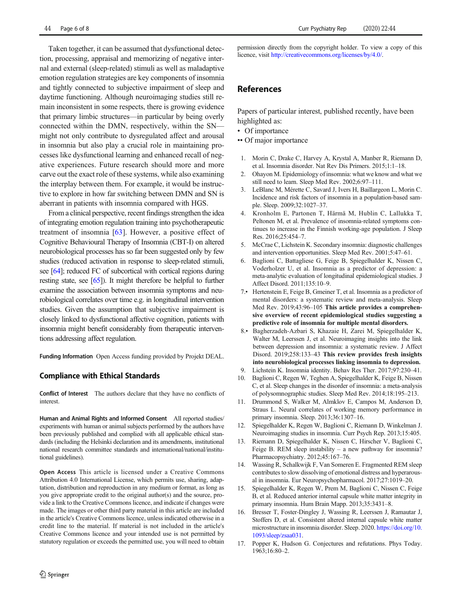<span id="page-5-0"></span>Taken together, it can be assumed that dysfunctional detection, processing, appraisal and memorizing of negative internal and external (sleep-related) stimuli as well as maladaptive emotion regulation strategies are key components of insomnia and tightly connected to subjective impairment of sleep and daytime functioning. Although neuroimaging studies still remain inconsistent in some respects, there is growing evidence that primary limbic structures—in particular by being overly connected within the DMN, respectively, within the SN might not only contribute to dysregulated affect and arousal in insomnia but also play a crucial role in maintaining processes like dysfunctional learning and enhanced recall of negative experiences. Future research should more and more carve out the exact role of these systems, while also examining the interplay between them. For example, it would be instructive to explore in how far switching between DMN and SN is aberrant in patients with insomnia compared with HGS.

From a clinical perspective, recent findings strengthen the idea of integrating emotion regulation training into psychotherapeutic treatment of insomnia [\[63](#page-7-0)]. However, a positive effect of Cognitive Behavioural Therapy of Insomnia (CBT-I) on altered neurobiological processes has so far been suggested only by few studies (reduced activation in response to sleep-related stimuli, see [\[64\]](#page-7-0); reduced FC of subcortical with cortical regions during resting state, see [\[65](#page-7-0)]). It might therefore be helpful to further examine the association between insomnia symptoms and neurobiological correlates over time e.g. in longitudinal intervention studies. Given the assumption that subjective impairment is closely linked to dysfunctional affective cognition, patients with insomnia might benefit considerably from therapeutic interventions addressing affect regulation.

Funding Information Open Access funding provided by Projekt DEAL.

#### Compliance with Ethical Standards

Conflict of Interest The authors declare that they have no conflicts of interest.

Human and Animal Rights and Informed Consent All reported studies/ experiments with human or animal subjects performed by the authors have been previously published and complied with all applicable ethical standards (including the Helsinki declaration and its amendments, institutional national research committee standards and international/national/institutional guidelines).

Open Access This article is licensed under a Creative Commons Attribution 4.0 International License, which permits use, sharing, adaptation, distribution and reproduction in any medium or format, as long as you give appropriate credit to the original author(s) and the source, provide a link to the Creative Commons licence, and indicate if changes were made. The images or other third party material in this article are included in the article's Creative Commons licence, unless indicated otherwise in a credit line to the material. If material is not included in the article's Creative Commons licence and your intended use is not permitted by statutory regulation or exceeds the permitted use, you will need to obtain permission directly from the copyright holder. To view a copy of this licence, visit [http://creativecommons.org/licenses/by/4.0/](https://doi.org/).

## References

Papers of particular interest, published recently, have been highlighted as:

- Of importance
- •• Of major importance
- 1. Morin C, Drake C, Harvey A, Krystal A, Manber R, Riemann D, et al. Insomnia disorder. Nat Rev Dis Primers. 2015;1:1–18.
- 2. Ohayon M. Epidemiology of insomnia: what we know and what we still need to learn. Sleep Med Rev. 2002;6:97–111.
- 3. LeBlanc M, Mérette C, Savard J, Ivers H, Baillargeon L, Morin C. Incidence and risk factors of insomnia in a population-based sample. Sleep. 2009;32:1027–37.
- 4. Kronholm E, Partonen T, Härmä M, Hublin C, Lallukka T, Peltonen M, et al. Prevalence of insomnia-related symptoms continues to increase in the Finnish working-age population. J Sleep Res. 2016;25:454–7.
- 5. McCrae C, Lichstein K. Secondary insomnia: diagnostic challenges and intervention opportunities. Sleep Med Rev. 2001;5:47–61.
- 6. Baglioni C, Battagliese G, Feige B, Spiegelhalder K, Nissen C, Voderholzer U, et al. Insomnia as a predictor of depression: a meta-analytic evaluation of longitudinal epidemiological studies. J Affect Disord. 2011;135:10–9.
- 7.• Hertenstein E, Feige B, Gmeiner T, et al. Insomnia as a predictor of mental disorders: a systematic review and meta-analysis. Sleep Med Rev. 2019;43:96–105 This article provides a comprehensive overview of recent epidemiological studies suggesting a predictive role of insomnia for multiple mental disorders.
- 8.• Bagherzadeh-Azbari S, Khazaie H, Zarei M, Spiegelhalder K, Walter M, Leerssen J, et al. Neuroimaging insights into the link between depression and insomnia: a systematic review. J Affect Disord. 2019;258:133–43 This review provides fresh insights into neurobiological processes linking insomnia to depression.
- 9. Lichstein K. Insomnia identity. Behav Res Ther. 2017;97:230–41.
- 10. Baglioni C, Regen W, Teghen A, Spiegelhalder K, Feige B, Nissen C, et al. Sleep changes in the disorder of insomnia: a meta-analysis of polysomnographic studies. Sleep Med Rev. 2014;18:195–213.
- 11. Drummond S, Walker M, Almklov E, Campos M, Anderson D, Straus L. Neural correlates of working memory performance in primary insomnia. Sleep. 2013;36:1307–16.
- 12. Spiegelhalder K, Regen W, Baglioni C, Riemann D, Winkelman J. Neuroimaging studies in insomnia. Curr Psych Rep. 2013;15:405.
- 13. Riemann D, Spiegelhalder K, Nissen C, Hirscher V, Baglioni C, Feige B. REM sleep instability – a new pathway for insomnia? Pharmacopsychiatry. 2012;45:167–76.
- 14. Wassing R, Schalkwijk F, Van Someren E. Fragmented REM sleep contributes to slow dissolving of emotional distress and hyperarousal in insomnia. Eur Neuropsychopharmacol. 2017;27:1019–20.
- 15. Spiegelhalder K, Regen W, Prem M, Baglioni C, Nissen C, Feige B, et al. Reduced anterior internal capsule white matter integrity in primary insomnia. Hum Brain Mapp. 2013;35:3431–8.
- 16. Bresser T, Foster-Dingley J, Wassing R, Leerssen J, Ramautar J, Stoffers D, et al. Consistent altered internal capsule white matter microstructure in insomnia disorder. Sleep. 2020. [https://doi.org/10.](https://doi.org/10.1093/sleep/zsaa031) [1093/sleep/zsaa031](https://doi.org/10.1093/sleep/zsaa031).
- 17. Popper K, Hudson G. Conjectures and refutations. Phys Today. 1963;16:80–2.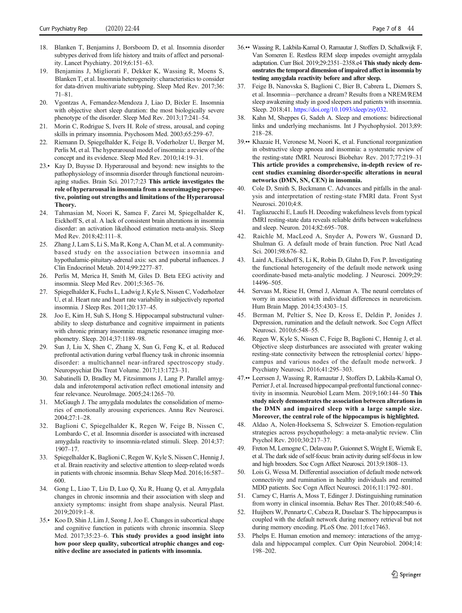- <span id="page-6-0"></span>18. Blanken T, Benjamins J, Borsboom D, et al. Insomnia disorder subtypes derived from life history and traits of affect and personality. Lancet Psychiatry. 2019;6:151–63.
- 19. Benjamins J, Migliorati F, Dekker K, Wassing R, Moens S, Blanken T, et al. Insomnia heterogeneity: characteristics to consider for data-driven multivariate subtyping. Sleep Med Rev. 2017;36: 71–81.
- 20. Vgontzas A, Fernandez-Mendoza J, Liao D, Bixler E. Insomnia with objective short sleep duration: the most biologically severe phenotype of the disorder. Sleep Med Rev. 2013;17:241–54.
- 21. Morin C, Rodrigue S, Ivers H. Role of stress, arousal, and coping skills in primary insomnia. Psychosom Med. 2003;65:259–67.
- 22. Riemann D, Spiegelhalder K, Feige B, Voderholzer U, Berger M, Perlis M, et al. The hyperarousal model of insomnia: a review of the concept and its evidence. Sleep Med Rev. 2010;14:19–31.
- 23.• Kay D, Buysse D. Hyperarousal and beyond: new insights to the pathophysiology of insomnia disorder through functional neuroimaging studies. Brain Sci. 2017;7:23 This article investigates the role of hyperarousal in insomnia from a neuroimaging perspective, pointing out strengths and limitations of the Hyperarousal Theory.
- 24. Tahmasian M, Noori K, Samea F, Zarei M, Spiegelhalder K, Eickhoff S, et al. A lack of consistent brain alterations in insomnia disorder: an activation likelihood estimation meta-analysis. Sleep Med Rev. 2018;42:111–8.
- 25. Zhang J, Lam S, Li S, Ma R, Kong A, Chan M, et al. A communitybased study on the association between insomnia and hypothalamic-pituitary-adrenal axis: sex and pubertal influences. J Clin Endocrinol Metab. 2014;99:2277–87.
- 26. Perlis M, Merica H, Smith M, Giles D. Beta EEG activity and insomnia. Sleep Med Rev. 2001;5:365–76.
- 27. Spiegelhalder K, Fuchs L, Ladwig J, Kyle S, Nissen C, Voderholzer U, et al. Heart rate and heart rate variability in subjectively reported insomnia. J Sleep Res. 2011;20:137–45.
- 28. Joo E, Kim H, Suh S, Hong S. Hippocampal substructural vulnerability to sleep disturbance and cognitive impairment in patients with chronic primary insomnia: magnetic resonance imaging morphometry. Sleep. 2014;37:1189–98.
- Sun J, Liu X, Shen C, Zhang X, Sun G, Feng K, et al. Reduced prefrontal activation during verbal fluency task in chronic insomnia disorder: a multichannel near-infrared spectroscopy study. Neuropsychiat Dis Treat Volume. 2017;13:1723–31.
- 30. Sabatinelli D, Bradley M, Fitzsimmons J, Lang P. Parallel amygdala and inferotemporal activation reflect emotional intensity and fear relevance. NeuroImage. 2005;24:1265–70.
- 31. McGaugh J. The amygdala modulates the consolidation of memories of emotionally arousing experiences. Annu Rev Neurosci. 2004;27:1–28.
- 32. Baglioni C, Spiegelhalder K, Regen W, Feige B, Nissen C, Lombardo C, et al. Insomnia disorder is associated with increased amygdala reactivity to insomnia-related stimuli. Sleep. 2014;37: 1907–17.
- 33. Spiegelhalder K, Baglioni C, Regen W, Kyle S, Nissen C, Hennig J, et al. Brain reactivity and selective attention to sleep-related words in patients with chronic insomnia. Behav Sleep Med. 2016;16:587– 600.
- 34. Gong L, Liao T, Liu D, Luo Q, Xu R, Huang Q, et al. Amygdala changes in chronic insomnia and their association with sleep and anxiety symptoms: insight from shape analysis. Neural Plast. 2019;2019:1–8.
- 35.• Koo D, Shin J, Lim J, Seong J, Joo E. Changes in subcortical shape and cognitive function in patients with chronic insomnia. Sleep Med. 2017;35:23–6. This study provides a good insight into how poor sleep quality, subcortical atrophic changes and cognitive decline are associated in patients with insomnia.
- 36.•• Wassing R, Lakbila-Kamal O, Ramautar J, Stoffers D, Schalkwijk F, Van Someren E. Restless REM sleep impedes overnight amygdala adaptation. Curr Biol. 2019;29:2351–2358.e4 This study nicely demonstrates the temporal dimension of impaired affect in insomnia by testing amygdala reactivity before and after sleep.
- 37. Feige B, Nanovska S, Baglioni C, Bier B, Cabrera L, Diemers S, et al. Insomnia—perchance a dream? Results from a NREM/REM sleep awakening study in good sleepers and patients with insomnia. Sleep. 2018;41. <https://doi.org/10.1093/sleep/zsy032>.
- Kahn M, Sheppes G, Sadeh A. Sleep and emotions: bidirectional links and underlying mechanisms. Int J Psychophysiol. 2013;89: 218–28.
- 39.•• Khazaie H, Veronese M, Noori K, et al. Functional reorganization in obstructive sleep apnoea and insomnia: a systematic review of the resting-state fMRI. Neurosci Biobehav Rev. 2017;77:219–31 This article provides a comprehensive, in-depth review of recent studies examining disorder-specific alterations in neural networks (DMN, SN, CEN) in insomnia.
- 40. Cole D, Smith S, Beckmann C. Advances and pitfalls in the analysis and interpretation of resting-state FMRI data. Front Syst Neurosci. 2010;4:8.
- 41. Tagliazucchi E, Laufs H. Decoding wakefulness levels from typical fMRI resting-state data reveals reliable drifts between wakefulness and sleep. Neuron. 2014;82:695–708.
- 42. Raichle M, MacLeod A, Snyder A, Powers W, Gusnard D, Shulman G. A default mode of brain function. Proc Natl Acad Sci. 2001;98:676–82.
- 43. Laird A, Eickhoff S, Li K, Robin D, Glahn D, Fox P. Investigating the functional heterogeneity of the default mode network using coordinate-based meta-analytic modeling. J Neurosci. 2009;29: 14496–505.
- Servaas M, Riese H, Ormel J, Aleman A. The neural correlates of worry in association with individual differences in neuroticism. Hum Brain Mapp. 2014;35:4303–15.
- 45. Berman M, Peltier S, Nee D, Kross E, Deldin P, Jonides J. Depression, rumination and the default network. Soc Cogn Affect Neurosci. 2010;6:548–55.
- 46. Regen W, Kyle S, Nissen C, Feige B, Baglioni C, Hennig J, et al. Objective sleep disturbances are associated with greater waking resting-state connectivity between the retrosplenial cortex/ hippocampus and various nodes of the default mode network. J Psychiatry Neurosci. 2016;41:295–303.
- 47.•• Leerssen J, Wassing R, Ramautar J, Stoffers D, Lakbila-Kamal O, Perrier J, et al. Increased hippocampal-prefrontal functional connectivity in insomnia. Neurobiol Learn Mem. 2019;160:144–50 This study nicely demonstrates the association between alterations in the DMN and impaired sleep with a large sample size. Moreover, the central role of the hippocampus is highlighted.
- 48. Aldao A, Nolen-Hoeksema S, Schweizer S. Emotion-regulation strategies across psychopathology: a meta-analytic review. Clin Psychol Rev. 2010;30:217–37.
- 49. Freton M, Lemogne C, Delaveau P, Guionnet S, Wright E, Wiernik E, et al. The dark side of self-focus: brain activity during self-focus in low and high brooders. Soc Cogn Affect Neurosci. 2013;9:1808–13.
- 50. Lois G, Wessa M. Differential association of default mode network connectivity and rumination in healthy individuals and remitted MDD patients. Soc Cogn Affect Neurosci. 2016;11:1792–801.
- 51. Carney C, Harris A, Moss T, Edinger J. Distinguishing rumination from worry in clinical insomnia. Behav Res Ther. 2010;48:540–6.
- 52. Huijbers W, Pennartz C, Cabeza R, Daselaar S. The hippocampus is coupled with the default network during memory retrieval but not during memory encoding. PLoS One. 2011;6:e17463.
- 53. Phelps E. Human emotion and memory: interactions of the amygdala and hippocampal complex. Curr Opin Neurobiol. 2004;14: 198–202.